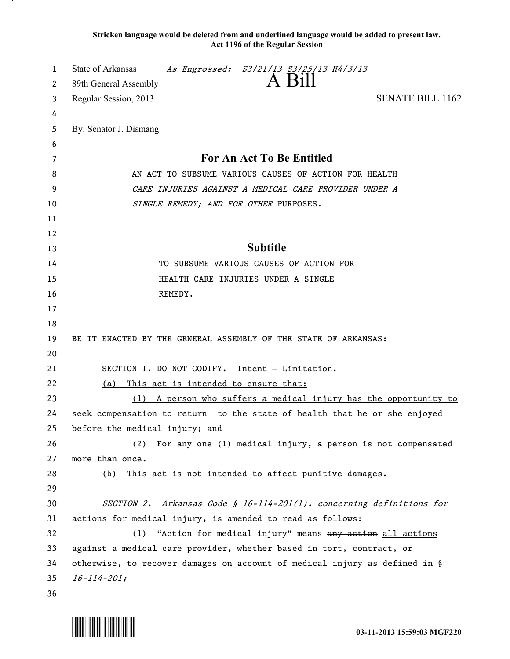**Stricken language would be deleted from and underlined language would be added to present law. Act 1196 of the Regular Session**

| 1        | <b>State of Arkansas</b><br>As Engrossed: S3/21/13 S3/25/13 H4/3/13                                         |
|----------|-------------------------------------------------------------------------------------------------------------|
| 2        | A Bill<br>89th General Assembly                                                                             |
| 3        | <b>SENATE BILL 1162</b><br>Regular Session, 2013                                                            |
| 4        |                                                                                                             |
| 5        | By: Senator J. Dismang                                                                                      |
| 6        |                                                                                                             |
| 7        | For An Act To Be Entitled                                                                                   |
| 8        | AN ACT TO SUBSUME VARIOUS CAUSES OF ACTION FOR HEALTH                                                       |
| 9        | CARE INJURIES AGAINST A MEDICAL CARE PROVIDER UNDER A                                                       |
| 10       | SINGLE REMEDY; AND FOR OTHER PURPOSES.                                                                      |
| 11       |                                                                                                             |
| 12       |                                                                                                             |
| 13       | <b>Subtitle</b>                                                                                             |
| 14       | TO SUBSUME VARIOUS CAUSES OF ACTION FOR                                                                     |
| 15       | HEALTH CARE INJURIES UNDER A SINGLE                                                                         |
| 16       | REMEDY.                                                                                                     |
| 17       |                                                                                                             |
| 18       |                                                                                                             |
| 19       | BE IT ENACTED BY THE GENERAL ASSEMBLY OF THE STATE OF ARKANSAS:                                             |
| 20       |                                                                                                             |
| 21       | SECTION 1. DO NOT CODIFY.<br>Intent - Limitation.                                                           |
| 22       | This act is intended to ensure that:<br><u>(a)</u>                                                          |
| 23       | A person who suffers a medical injury has the opportunity to<br>(1)                                         |
| 24<br>25 | seek compensation to return to the state of health that he or she enjoyed<br>before the medical injury; and |
| 26       | For any one (1) medical injury, a person is not compensated<br>(2)                                          |
| 27       | more than once.                                                                                             |
| 28       | This act is not intended to affect punitive damages.<br>(b)                                                 |
| 29       |                                                                                                             |
| 30       | SECTION 2. Arkansas Code § 16-114-201(1), concerning definitions for                                        |
| 31       | actions for medical injury, is amended to read as follows:                                                  |
| 32       | "Action for medical injury" means any action all actions<br>(1)                                             |
| 33       | against a medical care provider, whether based in tort, contract, or                                        |
| 34       | otherwise, to recover damages on account of medical injury as defined in §                                  |
| 35       | $16 - 114 - 201$ ;                                                                                          |
| 36       |                                                                                                             |

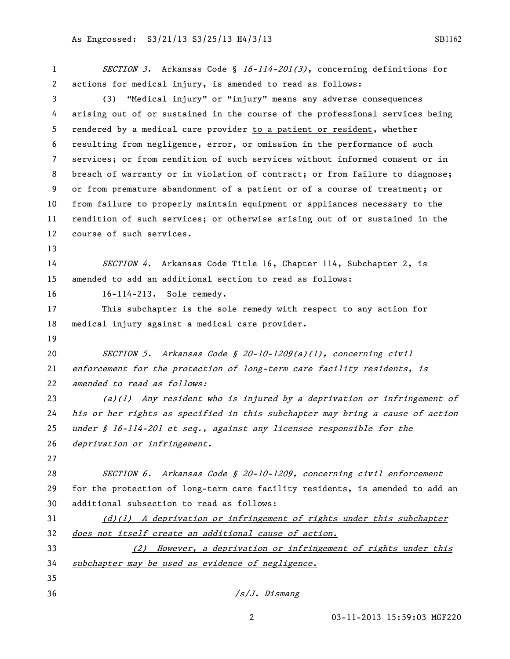## As Engrossed: S3/21/13 S3/25/13 H4/3/13 SB1162

| 1  | SECTION 3. Arkansas Code § 16-114-201(3), concerning definitions for          |
|----|-------------------------------------------------------------------------------|
| 2  | actions for medical injury, is amended to read as follows:                    |
| 3  | "Medical injury" or "injury" means any adverse consequences<br>(3)            |
| 4  | arising out of or sustained in the course of the professional services being  |
| 5  | rendered by a medical care provider to a patient or resident, whether         |
| 6  | resulting from negligence, error, or omission in the performance of such      |
| 7  | services; or from rendition of such services without informed consent or in   |
| 8  | breach of warranty or in violation of contract; or from failure to diagnose;  |
| 9  | or from premature abandonment of a patient or of a course of treatment; or    |
| 10 | from failure to properly maintain equipment or appliances necessary to the    |
| 11 | rendition of such services; or otherwise arising out of or sustained in the   |
| 12 | course of such services.                                                      |
| 13 |                                                                               |
| 14 | SECTION 4. Arkansas Code Title 16, Chapter 114, Subchapter 2, is              |
| 15 | amended to add an additional section to read as follows:                      |
| 16 | 16-114-213. Sole remedy.                                                      |
| 17 | This subchapter is the sole remedy with respect to any action for             |
| 18 | medical injury against a medical care provider.                               |
| 19 |                                                                               |
| 20 | SECTION 5. Arkansas Code § 20-10-1209(a)(1), concerning civil                 |
| 21 | enforcement for the protection of long-term care facility residents, is       |
| 22 | amended to read as follows:                                                   |
| 23 | $(a)(1)$ Any resident who is injured by a deprivation or infringement of      |
| 24 | his or her rights as specified in this subchapter may bring a cause of action |
| 25 | under $\oint$ 16-114-201 et seq., against any licensee responsible for the    |
| 26 | deprivation or infringement.                                                  |
| 27 |                                                                               |
| 28 | SECTION 6. Arkansas Code § 20-10-1209, concerning civil enforcement           |
| 29 | for the protection of long-term care facility residents, is amended to add an |
| 30 | additional subsection to read as follows:                                     |
| 31 | $(d)(1)$ A deprivation or infringement of rights under this subchapter        |
| 32 | does not itself create an additional cause of action.                         |
| 33 | (2) However, a deprivation or infringement of rights under this               |
| 34 | subchapter may be used as evidence of negligence.                             |
| 35 |                                                                               |
| 36 | /s/J. Dismang                                                                 |